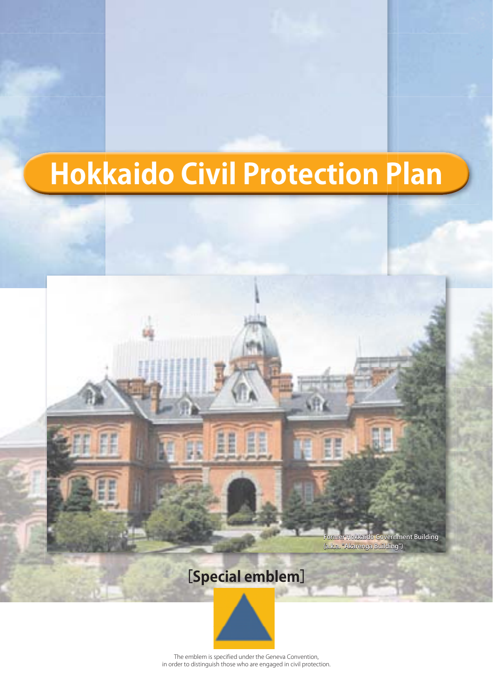# **Hokkaido Civil Protection Plan**



The emblem is specified under the Geneva in order to distinguish those who are engaged in civil protection.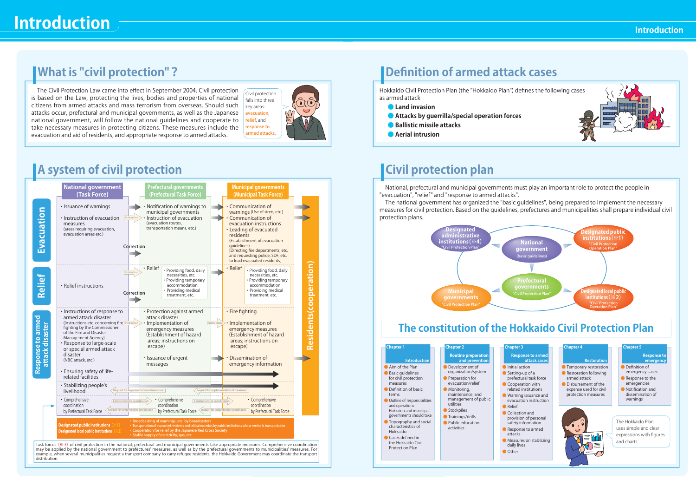# **Introduction**

## **What is "civil protection"?**

The Civil Protection Law came into effect in September 2004. Civil protection is based on the Law, protecting the lives, bodies and properties of national citizens from armed attacks and mass terrorism from overseas. Should such attacks occur, prefectural and municipal governments, as well as the Japanese national government, will follow the national guidelines and cooperate to take necessary measures in protecting citizens. These measures include the evacuation and aid of residents, and appropriate response to armed attacks.



## **A system of civil protection**



## **Definition of armed attack cases**

Hokkaido Civil Protection Plan (the "Hokkaido Plan") defines the following cases as armed attack

- **Land invasion**
- **Attacks by guerrilla/special operation forces**
- **Ballistic missile attacks**
- **Aerial intrusion**



## **Civil protection plan**

National, prefectural and municipal governments must play an important role to protect the people in "evacuation", "relief" and "response to armed attacks".

The national government has organized the "basic guidelines", being prepared to implement the necessary measures for civil protection. Based on the guidelines, prefectures and municipalities shall prepare individual civil protection plans.



## **The constitution of the Hokkaido Civil Protection Plan**

| <b>Chapter 1</b>                                                                                                                                                                  | Chapter 2                                                                                                                                                                                             | Chapter 3                                                                                                                                                                                                                                                                                                                                                                            | Chapter 4                                                                                                                                              | <b>Chapter S</b>                                                                                                                                         |
|-----------------------------------------------------------------------------------------------------------------------------------------------------------------------------------|-------------------------------------------------------------------------------------------------------------------------------------------------------------------------------------------------------|--------------------------------------------------------------------------------------------------------------------------------------------------------------------------------------------------------------------------------------------------------------------------------------------------------------------------------------------------------------------------------------|--------------------------------------------------------------------------------------------------------------------------------------------------------|----------------------------------------------------------------------------------------------------------------------------------------------------------|
| Introduction<br>Aim of the Plan<br>Basic quidelines<br>for civil protection<br>measures<br>Definition of basic<br><b>Barress</b><br>Outline of responsibilities<br>and coarations | Routine preparation<br>and perrention<br>Development of<br>organization/system<br>Preparation for<br>evacuation/relief<br>Monitorina.<br>maintenance, and<br>management of public<br><b>unitation</b> | Response to armed<br>attack cases<br><b>Initial action</b><br>Setting-up of a<br>prefectural task force<br>Cocoeration with<br>related institutions.<br>Warning issuance and<br>evanuation instruction.<br><b>Bakef</b><br>Collection and<br>provision of personal<br>safety information<br>Response to armed<br>amarks.<br>Measures on stabilizing<br>daily lives<br><b>O</b> Other | Restoration<br>Temporary restoration<br>Restoration following<br>armed attack.<br>Dishunsement of the<br>expense used for civil<br>protection measures | <b>Response to</b><br>emergency<br>Definition of<br>emirgency cases<br>Response to the<br>emergencies<br>Notification and<br>dissemination of<br>wamings |
| Hokkaido and municipal<br>governments should take<br>Topography and social<br>characteristics of<br>Heldside<br>Cases defined in<br>the Holdskide Civil<br>Protection Plan        | Stockpiles<br>· Trainings/drills<br>· Public education<br>activities                                                                                                                                  |                                                                                                                                                                                                                                                                                                                                                                                      |                                                                                                                                                        | The Holdgirlo Plan<br>uses simple and clear<br>expressions with figures<br>and charts.                                                                   |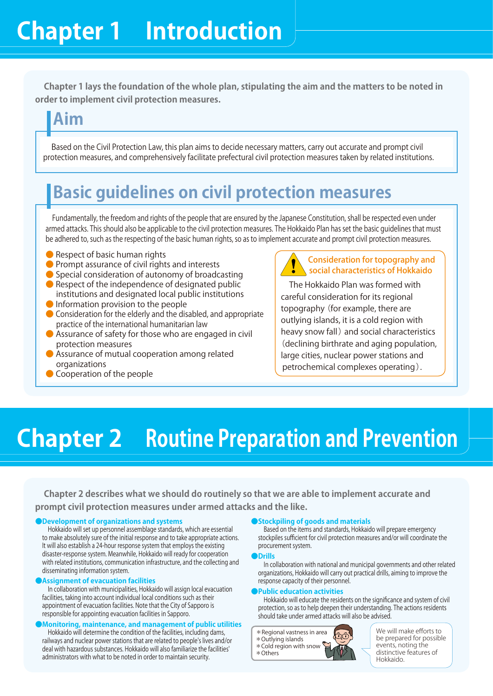**Chapter 1 lays the foundation of the whole plan, stipulating the aim and the matters to be noted in order to implement civil protection measures.**

## **Aim**

Based on the Civil Protection Law, this plan aims to decide necessary matters, carry out accurate and prompt civil protection measures, and comprehensively facilitate prefectural civil protection measures taken by related institutions.

## **Basic guidelines on civil protection measures**

Fundamentally, the freedom and rights of the people that are ensured by the Japanese Constitution, shall be respected even under armed attacks. This should also be applicable to the civil protection measures. The Hokkaido Plan has set the basic guidelines that must be adhered to, such as the respecting of the basic human rights, so as to implement accurate and prompt civil protection measures.

- Respect of basic human rights
- Prompt assurance of civil rights and interests
- Special consideration of autonomy of broadcasting
- Respect of the independence of designated public institutions and designated local public institutions
- Information provision to the people
- Consideration for the elderly and the disabled, and appropriate practice of the international humanitarian law
- Assurance of safety for those who are engaged in civil protection measures
- Assurance of mutual cooperation among related organizations
- Cooperation of the people



The Hokkaido Plan was formed with careful consideration for its regional topography (for example, there are outlying islands, it is a cold region with heavy snow fall) and social characteristics (declining birthrate and aging population, large cities, nuclear power stations and petrochemical complexes operating).

# **Chapter 2 Routine Preparation and Prevention**

**Chapter 2 describes what we should do routinely so that we are able to implement accurate and prompt civil protection measures under armed attacks and the like.**

**●Development of organizations and systems** Hokkaido will set up personnel assemblage standards, which are essential to make absolutely sure of the initial response and to take appropriate actions. It will also establish a 24-hour response system that employs the existing disaster-response system. Meanwhile, Hokkaido will ready for cooperation with related institutions, communication infrastructure, and the collecting and disseminating information system.

**●Assignment of evacuation facilities** In collaboration with municipalities, Hokkaido will assign local evacuation facilities, taking into account individual local conditions such as their appointment of evacuation facilities. Note that the City of Sapporo is responsible for appointing evacuation facilities in Sapporo.

**●Monitoring, maintenance, and management of public utilities** Hokkaido will determine the condition of the facilities, including dams, railways and nuclear power stations that are related to people's lives and/or deal with hazardous substances. Hokkaido will also familiarize the facilities' administrators with what to be noted in order to maintain security.

**●Stockpiling of goods and materials** Based on the items and standards, Hokkaido will prepare emergency stockpiles sufficient for civil protection measures and/or will coordinate the procurement system.

**●Drills**

In collaboration with national and municipal governments and other related organizations, Hokkaido will carry out practical drills, aiming to improve the response capacity of their personnel.

**●Public education activities**  Hokkaido will educate the residents on the signifi cance and system of civil protection, so as to help deepen their understanding. The actions residents should take under armed attacks will also be advised.



We will make efforts to be prepared for possible events, noting the <sub>inus,</sub> assumg unit<br>inctive features of Hokkaido.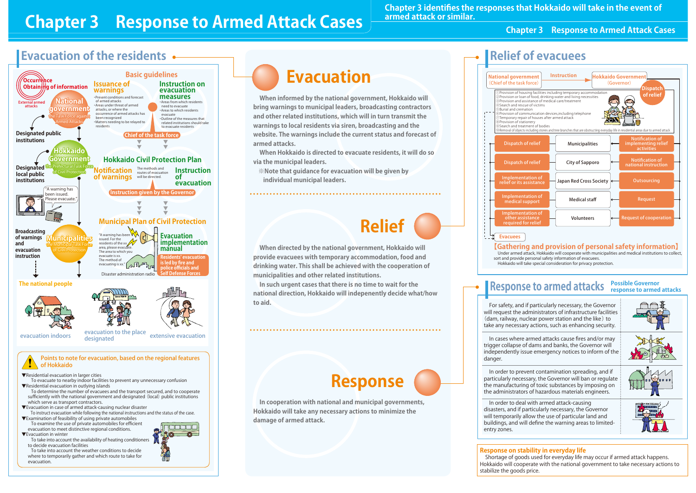## **Evacuation of the residents**





**When informed by the national government, Hokkaido will bring warnings to municipal leaders, broadcasting contractors and other related institutions, which will in turn transmit the warnings to local residents via siren, broadcasting and the website. The warnings include the current status and forecast of armed attacks.**

**When Hokkaido is directed to evacuate residents, it will do so via the municipal leaders.** 

**※Note that guidance for evacuation will be given by individual municipal leaders.**



**When directed by the national government, Hokkaido will provide evacuees with temporary accommodation, food and drinking water. This shall be achieved with the cooperation of municipalities and other related institutions.** 

**In such urgent cases that there is no time to wait for the national direction, Hokkaido will indepenently decide what/how to aid.** 

# **Response**

**In cooperation with national and municipal governments, Hokkaido will take any necessary actions to minimize the damage of armed attack.**



## **Response to armed attacks Possible Governor response to armed attacks**

For safety, and if particularly necessary, the Governor will request the administrators of infrastructure facilities (dam, railway, nuclear power station and the like) to take any necessary actions, such as enhancing security.

In cases where armed attacks cause fires and/or may trigger collapse of dams and banks, the Governor will independently issue emergency notices to inform of the danger.

In order to prevent contamination spreading, and if particularly necessary, the Governor will ban or regulate the manufacturing of toxic substances by imposing on the administrators of hazardous materials engineers.



### In order to deal with armed attack-causing disasters, and if particularly necessary, the Governor will temporarily allow the use of particular land and buildings, and will define the warning areas to limitedentry zones.

**Response on stability in everyday life** Shortage of goods used for everyday life may occur if armed attack happens. Hokkaido will cooperate with the national government to take necessary actions to stabilize the goods price.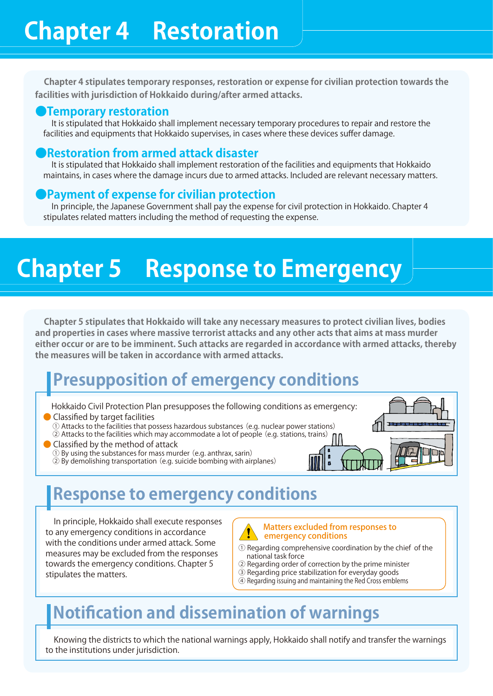**Chapter 4 stipulates temporary responses, restoration or expense for civilian protection towards the facilities with jurisdiction of Hokkaido during/after armed attacks.**

### **●Temporary restoration**

It is stipulated that Hokkaido shall implement necessary temporary procedures to repair and restore the facilities and equipments that Hokkaido supervises, in cases where these devices suffer damage.

### **●Restoration from armed attack disaster**

It is stipulated that Hokkaido shall implement restoration of the facilities and equipments that Hokkaido maintains, in cases where the damage incurs due to armed attacks. Included are relevant necessary matters.

### **Payment of expense for civilian protection**

In principle, the Japanese Government shall pay the expense for civil protection in Hokkaido. Chapter 4 stipulates related matters including the method of requesting the expense.

# **Chapter 5 Response to Emergency**

**Chapter 5 stipulates that Hokkaido will take any necessary measures to protect civilian lives, bodies and properties in cases where massive terrorist attacks and any other acts that aims at mass murder either occur or are to be imminent. Such attacks are regarded in accordance with armed attacks, thereby the measures will be taken in accordance with armed attacks.**

## **Presupposition of emergency conditions**

- Hokkaido Civil Protection Plan presupposes the following conditions as emergency: ● Classified by target facilities
	- ① Attacks to the facilities that possess hazardous substances(e.g. nuclear power stations) ② Attacks to the facilities which may accommodate a lot of people (e.g. stations, trains)
- **Classified by the method of attack** 
	- ① By using the substances for mass murder (e.g. anthrax, sarin)
	- ② By demolishing transportation (e.g. suicide bombing with airplanes)



## **Response to emergency conditions**

In principle, Hokkaido shall execute responses to any emergency conditions in accordance with the conditions under armed attack. Some measures may be excluded from the responses towards the emergency conditions. Chapter 5 stipulates the matters.

ed from responses to emergency conditions

- Regarding comprehensive coordination by the chief of the national task force
- ② Regarding order of correction by the prime minister
- ③ Regarding price stabilization for everyday goods
- ④ Regarding issuing and maintaining the Red Cross emblems

## **Notifi cation and dissemination of warnings**

Knowing the districts to which the national warnings apply, Hokkaido shall notify and transfer the warnings to the institutions under jurisdiction.